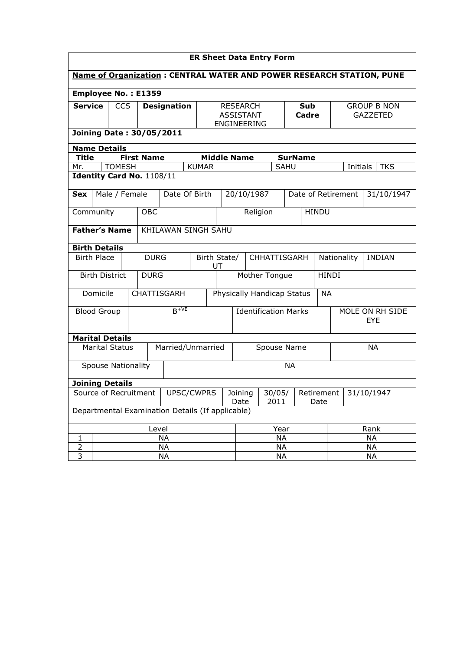| <b>ER Sheet Data Entry Form</b>                  |                                                                      |               |               |                           |                                                    |                                                    |                             |                                         |                               |      |                                       |                               |           |           |               |
|--------------------------------------------------|----------------------------------------------------------------------|---------------|---------------|---------------------------|----------------------------------------------------|----------------------------------------------------|-----------------------------|-----------------------------------------|-------------------------------|------|---------------------------------------|-------------------------------|-----------|-----------|---------------|
|                                                  | Name of Organization: CENTRAL WATER AND POWER RESEARCH STATION, PUNE |               |               |                           |                                                    |                                                    |                             |                                         |                               |      |                                       |                               |           |           |               |
|                                                  | Employee No.: E1359                                                  |               |               |                           |                                                    |                                                    |                             |                                         |                               |      |                                       |                               |           |           |               |
| <b>Service</b>                                   | <b>CCS</b><br><b>Designation</b>                                     |               |               |                           | <b>RESEARCH</b><br><b>ASSISTANT</b><br>ENGINEERING |                                                    |                             | <b>Sub</b><br>Cadre                     |                               |      | <b>GROUP B NON</b><br><b>GAZZETED</b> |                               |           |           |               |
|                                                  | <b>Joining Date: 30/05/2011</b>                                      |               |               |                           |                                                    |                                                    |                             |                                         |                               |      |                                       |                               |           |           |               |
| <b>Name Details</b>                              |                                                                      |               |               |                           |                                                    |                                                    |                             |                                         |                               |      |                                       |                               |           |           |               |
| <b>Title</b>                                     |                                                                      |               |               | <b>First Name</b>         |                                                    |                                                    |                             | <b>Middle Name</b>                      |                               |      | <b>SurName</b>                        |                               |           |           |               |
| Mr.                                              |                                                                      | <b>TOMESH</b> |               |                           |                                                    | <b>KUMAR</b>                                       |                             |                                         |                               | SAHU |                                       |                               | Initials  |           | <b>TKS</b>    |
|                                                  |                                                                      |               |               | Identity Card No. 1108/11 |                                                    |                                                    |                             |                                         |                               |      |                                       |                               |           |           |               |
| <b>Sex</b>                                       |                                                                      |               | Male / Female |                           | Date Of Birth                                      |                                                    |                             | 20/10/1987                              |                               |      |                                       | Date of Retirement            |           |           | 31/10/1947    |
| Community<br>OBC<br>Religion<br><b>HINDU</b>     |                                                                      |               |               |                           |                                                    |                                                    |                             |                                         |                               |      |                                       |                               |           |           |               |
| <b>Father's Name</b><br>KHILAWAN SINGH SAHU      |                                                                      |               |               |                           |                                                    |                                                    |                             |                                         |                               |      |                                       |                               |           |           |               |
|                                                  | <b>Birth Details</b>                                                 |               |               |                           |                                                    |                                                    |                             |                                         |                               |      |                                       |                               |           |           |               |
| <b>Birth Place</b>                               |                                                                      |               |               | <b>DURG</b>               |                                                    | Birth State/                                       | UT                          |                                         | CHHATTISGARH                  |      |                                       | Nationality                   |           |           | <b>INDIAN</b> |
|                                                  | <b>Birth District</b>                                                |               |               | <b>DURG</b>               |                                                    |                                                    |                             |                                         | Mother Tongue<br><b>HINDI</b> |      |                                       |                               |           |           |               |
|                                                  | Domicile                                                             |               |               |                           | CHATTISGARH                                        |                                                    |                             | Physically Handicap Status<br><b>NA</b> |                               |      |                                       |                               |           |           |               |
| <b>Blood Group</b>                               |                                                                      |               |               |                           | $B^{+VE}$                                          |                                                    | <b>Identification Marks</b> |                                         |                               |      |                                       | MOLE ON RH SIDE<br><b>EYE</b> |           |           |               |
| <b>Marital Details</b>                           |                                                                      |               |               |                           |                                                    |                                                    |                             |                                         |                               |      |                                       |                               |           |           |               |
|                                                  | <b>Marital Status</b>                                                |               |               |                           | Married/Unmarried                                  |                                                    |                             |                                         | Spouse Name                   |      |                                       |                               |           | <b>NA</b> |               |
| <b>NA</b><br><b>Spouse Nationality</b>           |                                                                      |               |               |                           |                                                    |                                                    |                             |                                         |                               |      |                                       |                               |           |           |               |
| <b>Joining Details</b>                           |                                                                      |               |               |                           |                                                    |                                                    |                             |                                         |                               |      |                                       |                               |           |           |               |
| Source of Recruitment<br>UPSC/CWPRS              |                                                                      |               |               |                           | Joining<br>Date                                    | 30/05/<br>Retirement<br>31/10/1947<br>2011<br>Date |                             |                                         |                               |      |                                       |                               |           |           |               |
| Departmental Examination Details (If applicable) |                                                                      |               |               |                           |                                                    |                                                    |                             |                                         |                               |      |                                       |                               |           |           |               |
|                                                  | Level                                                                |               |               |                           |                                                    | Year                                               |                             |                                         |                               |      | Rank                                  |                               |           |           |               |
| 1                                                |                                                                      |               |               |                           | <b>NA</b>                                          |                                                    |                             |                                         | <b>NA</b>                     |      |                                       |                               | <b>NA</b> |           |               |
| $\overline{2}$                                   |                                                                      |               |               |                           | <b>NA</b>                                          |                                                    |                             | <b>NA</b>                               |                               |      |                                       |                               |           | <b>NA</b> |               |
| $\overline{3}$                                   | <b>NA</b>                                                            |               |               |                           |                                                    |                                                    | <b>NA</b><br><b>NA</b>      |                                         |                               |      |                                       |                               |           |           |               |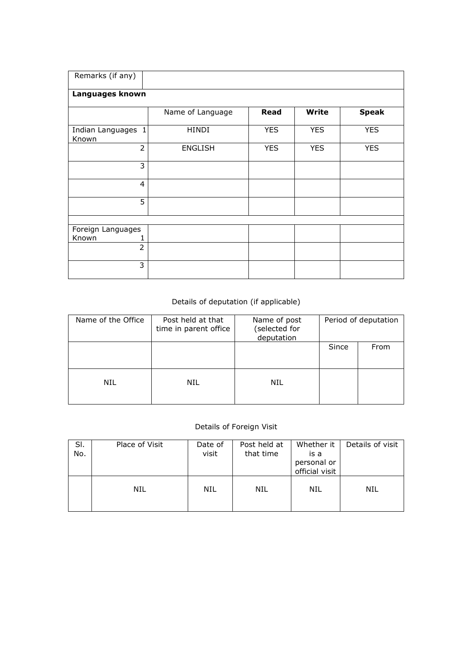| Remarks (if any)   |                  |            |              |              |
|--------------------|------------------|------------|--------------|--------------|
|                    |                  |            |              |              |
| Languages known    |                  |            |              |              |
|                    |                  |            |              |              |
|                    | Name of Language | Read       | <b>Write</b> | <b>Speak</b> |
|                    |                  |            |              |              |
| Indian Languages 1 | <b>HINDI</b>     | <b>YES</b> | <b>YES</b>   | <b>YES</b>   |
| Known              |                  |            |              |              |
| $\overline{2}$     | <b>ENGLISH</b>   | <b>YES</b> | <b>YES</b>   | <b>YES</b>   |
|                    |                  |            |              |              |
| 3                  |                  |            |              |              |
|                    |                  |            |              |              |
| $\overline{4}$     |                  |            |              |              |
|                    |                  |            |              |              |
| 5                  |                  |            |              |              |
|                    |                  |            |              |              |
|                    |                  |            |              |              |
| Foreign Languages  |                  |            |              |              |
| Known<br>1         |                  |            |              |              |
| $\overline{2}$     |                  |            |              |              |
|                    |                  |            |              |              |
| 3                  |                  |            |              |              |
|                    |                  |            |              |              |

## Details of deputation (if applicable)

| Name of the Office | Post held at that<br>time in parent office | Name of post<br>(selected for<br>deputation | Period of deputation |      |
|--------------------|--------------------------------------------|---------------------------------------------|----------------------|------|
|                    |                                            |                                             | Since                | From |
| NIL                | NIL                                        | NIL                                         |                      |      |

## Details of Foreign Visit

| SI.<br>No. | Place of Visit | Date of<br>visit | Post held at<br>that time | Whether it<br>is a<br>personal or<br>official visit | Details of visit |
|------------|----------------|------------------|---------------------------|-----------------------------------------------------|------------------|
|            | NIL            | NIL              | NIL                       | NIL                                                 | NIL              |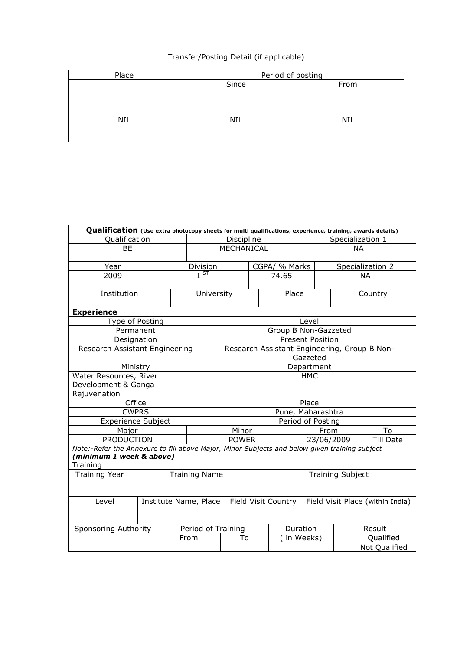## Transfer/Posting Detail (if applicable)

| Place      | Period of posting |            |  |  |  |  |
|------------|-------------------|------------|--|--|--|--|
|            | Since             | From       |  |  |  |  |
|            |                   |            |  |  |  |  |
|            |                   |            |  |  |  |  |
|            |                   |            |  |  |  |  |
| <b>NIL</b> | NIL               | <b>NIL</b> |  |  |  |  |
|            |                   |            |  |  |  |  |
|            |                   |            |  |  |  |  |

| Qualification (Use extra photocopy sheets for multi qualifications, experience, training, awards details)                 |  |                    |                               |                            |               |                      |                         |                  |                                              |  |
|---------------------------------------------------------------------------------------------------------------------------|--|--------------------|-------------------------------|----------------------------|---------------|----------------------|-------------------------|------------------|----------------------------------------------|--|
| Qualification                                                                                                             |  |                    |                               | Discipline                 |               |                      |                         | Specialization 1 |                                              |  |
| <b>BE</b>                                                                                                                 |  |                    |                               | MECHANICAL                 |               |                      |                         |                  | <b>NA</b>                                    |  |
| Year                                                                                                                      |  |                    | Division<br>$\overline{J}$ st |                            | CGPA/ % Marks |                      |                         | Specialization 2 |                                              |  |
| 2009                                                                                                                      |  |                    |                               |                            |               | 74.65                |                         |                  | <b>NA</b>                                    |  |
| Institution                                                                                                               |  |                    | University                    |                            |               | Place                |                         | Country          |                                              |  |
|                                                                                                                           |  |                    |                               |                            |               |                      |                         |                  |                                              |  |
| <b>Experience</b>                                                                                                         |  |                    |                               |                            |               |                      |                         |                  |                                              |  |
| Type of Posting<br>Permanent                                                                                              |  |                    |                               |                            |               |                      | Level                   |                  |                                              |  |
| Designation                                                                                                               |  |                    |                               |                            |               | Group B Non-Gazzeted | <b>Present Position</b> |                  |                                              |  |
| Research Assistant Engineering                                                                                            |  |                    |                               |                            |               |                      |                         |                  | Research Assistant Engineering, Group B Non- |  |
|                                                                                                                           |  |                    |                               |                            |               |                      | Gazzeted                |                  |                                              |  |
| Ministry                                                                                                                  |  |                    |                               | Department                 |               |                      |                         |                  |                                              |  |
| Water Resources, River                                                                                                    |  |                    |                               | <b>HMC</b>                 |               |                      |                         |                  |                                              |  |
| Development & Ganga                                                                                                       |  |                    |                               |                            |               |                      |                         |                  |                                              |  |
| Rejuvenation                                                                                                              |  |                    |                               |                            |               |                      |                         |                  |                                              |  |
| Office                                                                                                                    |  |                    |                               |                            |               |                      | Place                   |                  |                                              |  |
| <b>CWPRS</b>                                                                                                              |  |                    |                               | Pune, Maharashtra          |               |                      |                         |                  |                                              |  |
| <b>Experience Subject</b>                                                                                                 |  |                    |                               | Period of Posting          |               |                      |                         |                  |                                              |  |
| Major                                                                                                                     |  |                    |                               | Minor                      |               |                      |                         | To<br>From       |                                              |  |
| <b>PRODUCTION</b>                                                                                                         |  |                    |                               | <b>POWER</b><br>23/06/2009 |               |                      |                         |                  | <b>Till Date</b>                             |  |
| Note:-Refer the Annexure to fill above Major, Minor Subjects and below given training subject<br>(minimum 1 week & above) |  |                    |                               |                            |               |                      |                         |                  |                                              |  |
| Training                                                                                                                  |  |                    |                               |                            |               |                      |                         |                  |                                              |  |
| <b>Training Year</b><br><b>Training Name</b>                                                                              |  |                    |                               | <b>Training Subject</b>    |               |                      |                         |                  |                                              |  |
|                                                                                                                           |  |                    |                               |                            |               |                      |                         |                  |                                              |  |
| Institute Name, Place<br>Level                                                                                            |  |                    |                               |                            |               | Field Visit Country  |                         |                  | Field Visit Place (within India)             |  |
|                                                                                                                           |  |                    |                               |                            |               |                      |                         |                  |                                              |  |
| Sponsoring Authority                                                                                                      |  | Period of Training |                               |                            |               | Duration             | Result                  |                  |                                              |  |
|                                                                                                                           |  |                    | From                          | To                         |               |                      | in Weeks)               |                  | Qualified                                    |  |
|                                                                                                                           |  |                    |                               |                            |               |                      |                         |                  | Not Qualified                                |  |